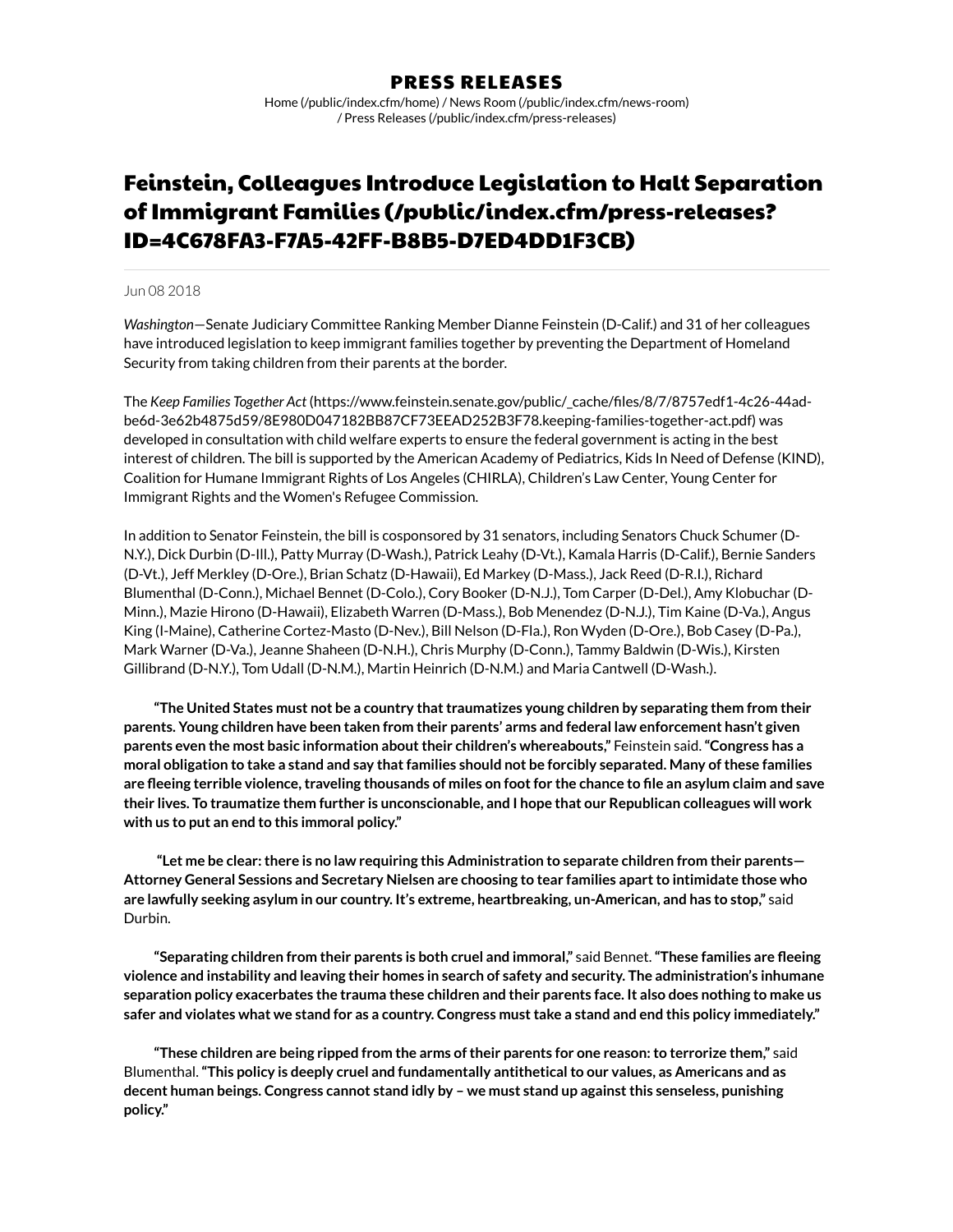## PRESS RELEASES

Home [\(/public/index.cfm/home\)](https://www.feinstein.senate.gov/public/index.cfm/home) / News Room [\(/public/index.cfm/news-room\)](https://www.feinstein.senate.gov/public/index.cfm/news-room) / Press Releases [\(/public/index.cfm/press-releases\)](https://www.feinstein.senate.gov/public/index.cfm/press-releases)

# Feinstein, Colleagues Introduce Legislation to Halt Separation of Immigrant Families (/public/index.cfm/press-releases? [ID=4C678FA3-F7A5-42FF-B8B5-D7ED4DD1F3CB\)](https://www.feinstein.senate.gov/public/index.cfm/press-releases?ID=4C678FA3-F7A5-42FF-B8B5-D7ED4DD1F3CB)

### Jun 08 2018

*Washington*—Senate Judiciary Committee Ranking Member Dianne Feinstein (D-Calif.) and 31 of her colleagues have introduced legislation to keep immigrant families together by preventing the Department of Homeland Security from taking children from their parents at the border.

The *Keep Families Together Act* (https://www.feinstein.senate.gov/public/\_cache/les/8/7/8757edf1-4c26-44ad[be6d-3e62b4875d59/8E980D047182BB87CF73EEAD252B3F78.keeping-families-together-act.pdf\)](https://www.feinstein.senate.gov/public/_cache/files/8/7/8757edf1-4c26-44ad-be6d-3e62b4875d59/8E980D047182BB87CF73EEAD252B3F78.keeping-families-together-act.pdf) was developed in consultation with child welfare experts to ensure the federal government is acting in the best interest of children. The bill is supported by the American Academy of Pediatrics, Kids In Need of Defense (KIND), Coalition for Humane Immigrant Rights of Los Angeles (CHIRLA), Children's Law Center, Young Center for Immigrant Rights and the Women's Refugee Commission.

In addition to Senator Feinstein, the bill is cosponsored by 31 senators, including Senators Chuck Schumer (D-N.Y.), Dick Durbin (D-Ill.), Patty Murray (D-Wash.), Patrick Leahy (D-Vt.), Kamala Harris (D-Calif.), Bernie Sanders (D-Vt.), Jeff Merkley (D-Ore.), Brian Schatz (D-Hawaii), Ed Markey (D-Mass.), Jack Reed (D-R.I.), Richard Blumenthal (D-Conn.), Michael Bennet (D-Colo.), Cory Booker (D-N.J.), Tom Carper (D-Del.), Amy Klobuchar (D- Minn.), Mazie Hirono (D-Hawaii), Elizabeth Warren (D-Mass.), Bob Menendez (D-N.J.), Tim Kaine (D-Va.), Angus King (I-Maine), Catherine Cortez-Masto (D-Nev.), Bill Nelson (D-Fla.), Ron Wyden (D-Ore.), Bob Casey (D-Pa.), Mark Warner (D-Va.), Jeanne Shaheen (D-N.H.), Chris Murphy (D-Conn.), Tammy Baldwin (D-Wis.), Kirsten Gillibrand (D-N.Y.), Tom Udall (D-N.M.), Martin Heinrich (D-N.M.) and Maria Cantwell (D-Wash.).

**"The United States must not be a country thattraumatizes young children by separating them from their parents. Young children have been taken from their parents' arms and federal law enforcement hasn't given parents even the most basic information abouttheir children's whereabouts,"** Feinstein said.**"Congress has a** moral obligation to take a stand and say that families should not be forcibly separated. Many of these families are fleeing terrible violence, traveling thousands of miles on foot for the chance to file an asylum claim and save their lives. To traumatize them further is unconscionable, and I hope that our Republican colleagues will work **with us to put an end to this immoral policy."**

**"Let me be clear:there is no law requiring this Administration to separate children from their parents— Attorney General Sessions and Secretary Nielsen are choosing to tear families apartto intimidate those who are lawfully seeking asylum in our country. It's extreme, heartbreaking, un-American, and has to stop,"** said Durbin.

**"Separating children from their parents is both cruel and immoral,"** said Bennet.**"These families are eeing violence and instability and leaving their homes in search of safety and security. The administration's inhumane** separation policy exacerbates the trauma these children and their parents face. It also does nothing to make us safer and violates what we stand for as a country. Congress must take a stand and end this policy immediately."

**"These children are being ripped from the arms of their parents for one reason:to terrorize them,"** said Blumenthal.**"This policy is deeply cruel and fundamentally antitheticalto our values, as Americans and as decent human beings. Congress cannot stand idly by – we must stand up againstthis senseless, punishing policy."**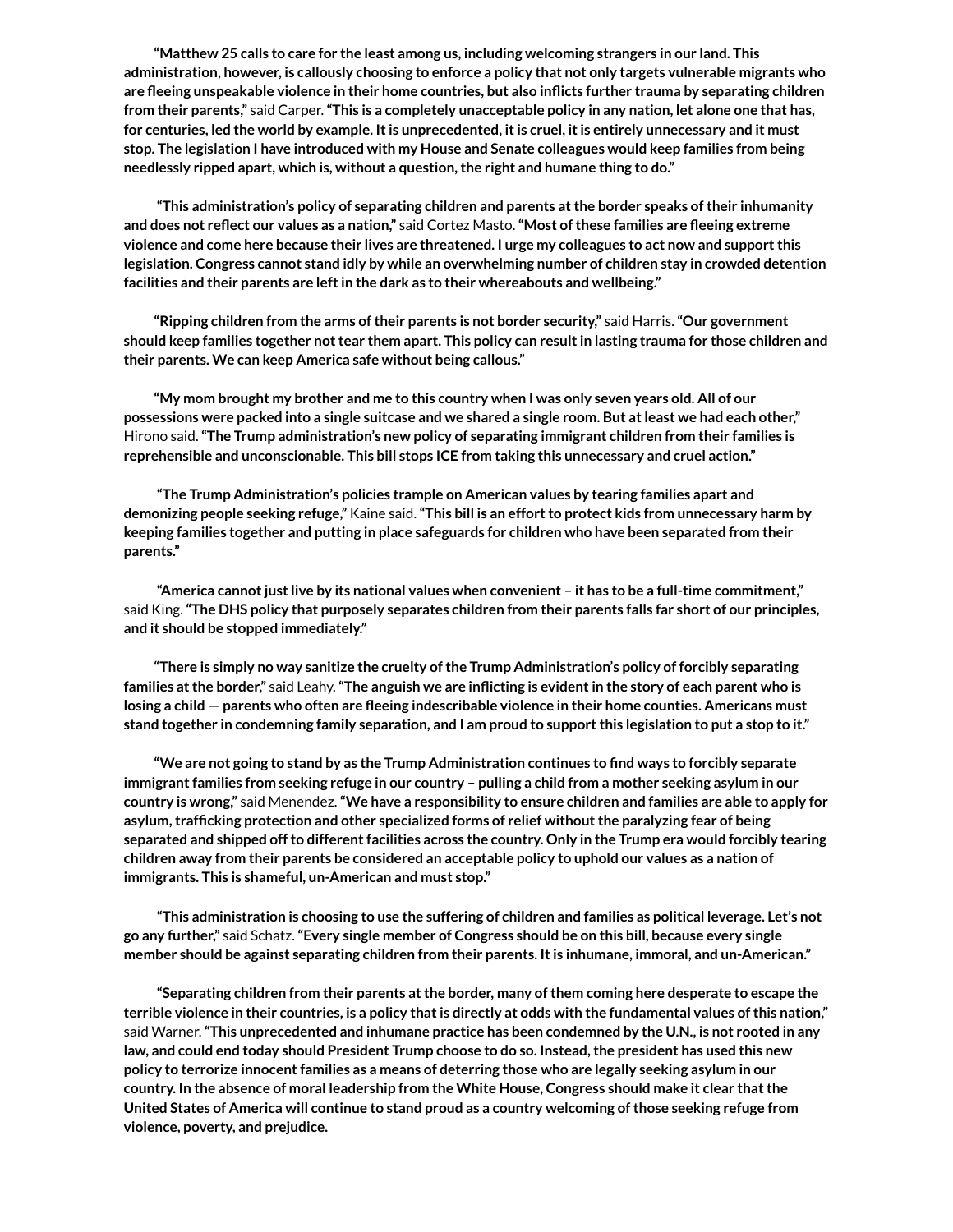**"Matthew 25 calls to care for the least among us, including welcoming strangers in our land. This administration, however, is callously choosing to enforce a policy that not only targets vulnerable migrants who are eeing unspeakable violence in their home countries, but also inicts further trauma by separating children** from their parents," said Carper. "This is a completely unacceptable policy in any nation, let alone one that has, for centuries, led the world by example. It is unprecedented, it is cruel, it is entirely unnecessary and it must stop. The legislation I have introduced with my House and Senate colleagues would keep families from being **needlessly ripped apart, which is, without a question,the right and humane thing to do."**

**"This administration's policy of separating children and parents atthe border speaks of their inhumanity and does not reect our values as a nation,"** said Cortez Masto.**"Most ofthese families are eeing extreme** violence and come here because their lives are threatened. I urge my colleagues to act now and support this **legislation. Congress cannot stand idly by while an overwhelming number of children stay in crowded detention facilities and their parents are leftin the dark as to their whereabouts and wellbeing."**

**"Ripping children from the arms oftheir parents is not border security,"** said Harris.**"Our government** should keep families together not tear them apart. This policy can result in lasting trauma for those children and **their parents. We can keep America safe without being callous."**

"My mom brought my brother and me to this country when I was only seven years old. All of our possessions were packed into a single suitcase and we shared a single room. But at least we had each other," Hirono said.**"The Trump administration's new policy of separating immigrant children from their families is reprehensible and unconscionable. This bill stops ICE from taking this unnecessary and cruel action."**

**"The Trump Administration's policies trample on American values by tearing families apart and demonizing people seeking refuge,"** Kaine said.**"This bill is an effortto protect kids from unnecessary harm by keeping families together and putting in place safeguards for children who have been separated from their parents."**

**"America cannotjustlive by its national values when convenient – it has to be a full-time commitment,"** said King. "The DHS policy that purposely separates children from their parents falls far short of our principles, **and it should be stopped immediately."**

**"There is simply no way sanitize the cruelty of the Trump Administration's policy of forcibly separating** families at the border," said Leahy. "The anguish we are inflicting is evident in the story of each parent who is losing a child – parents who often are fleeing indescribable violence in their home counties. Americans must stand together in condemning family separation, and I am proud to support this legislation to put a stop to it."

"We are not going to stand by as the Trump Administration continues to find ways to forcibly separate immigrant families from seeking refuge in our country - pulling a child from a mother seeking asylum in our country is wrong," said Menendez. "We have a responsibility to ensure children and families are able to apply for **asylum,trafcking protection and other specialized forms of relief withoutthe paralyzing fear of being separated and shipped offto differentfacilities across the country. Only in the Trump era would forcibly tearing** children away from their parents be considered an acceptable policy to uphold our values as a nation of **immigrants. This is shameful, un-American and must stop."**

"This administration is choosing to use the suffering of children and families as political leverage. Let's not **go any further,"** said Schatz.**"Every single member of Congress should be on this bill, because every single member should be against separating children from their parents. Itis inhumane, immoral, and un-American."**

**"Separating children from their parents atthe border, many of them coming here desperate to escape the** terrible violence in their countries, is a policy that is directly at odds with the fundamental values of this nation," said Warner.**"This unprecedented and inhumane practice has been condemned by the U.N., is not rooted in any** law, and could end today should President Trump choose to do so. Instead, the president has used this new **policy to terrorize innocentfamilies as a means of deterring those who are legally seeking asylum in our country. In the absence of moral leadership from the White House, Congress should make it clear thatthe United States of America will continue to stand proud as a country welcoming ofthose seeking refuge from violence, poverty, and prejudice.**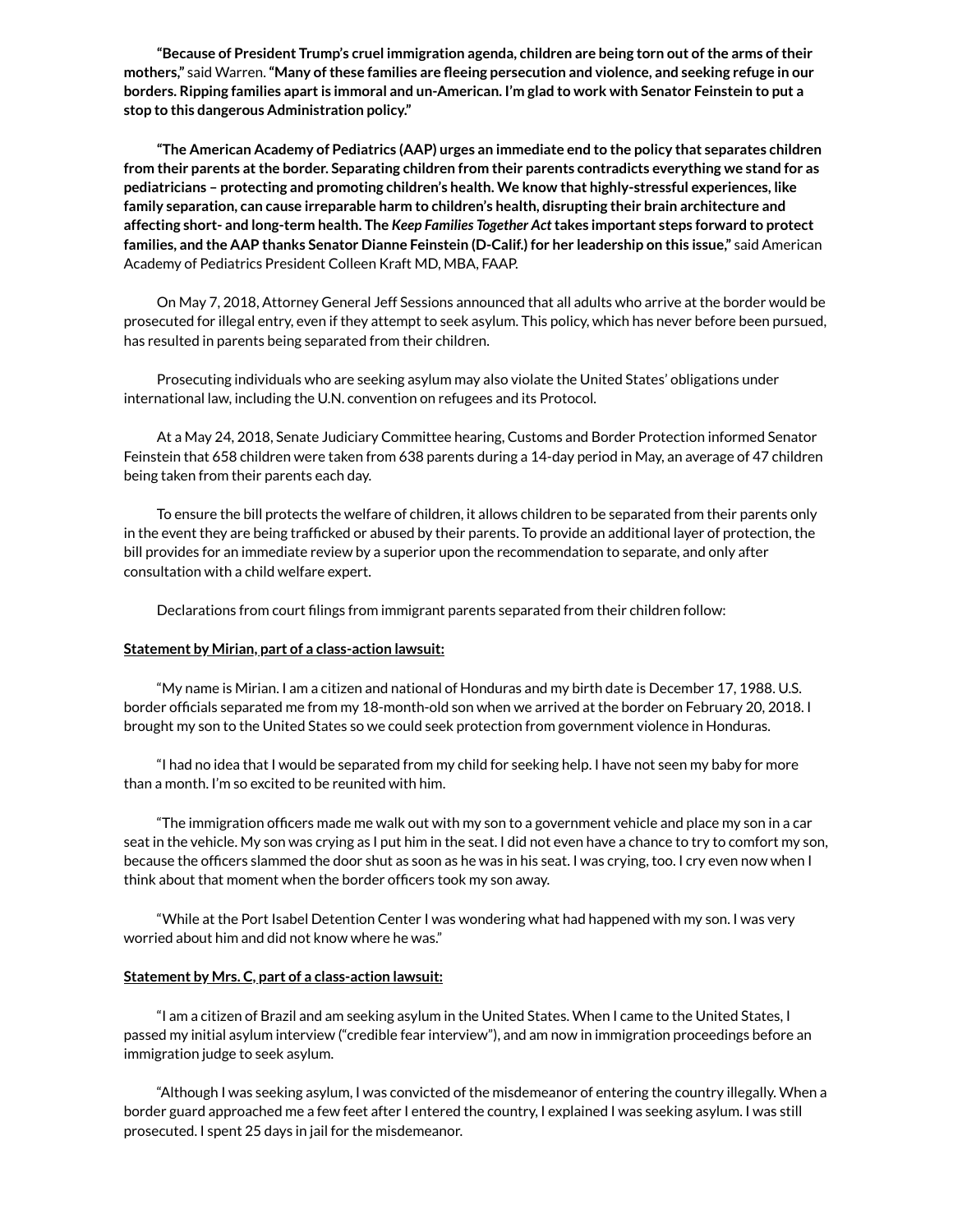**"Because of President Trump's cruel immigration agenda, children are being torn out of the arms of their mothers,"** said Warren.**"Many of these families are eeing persecution and violence, and seeking refuge in our** borders. Ripping families apart is immoral and un-American. I'm glad to work with Senator Feinstein to put a **stop to this dangerous Administration policy."**

**"The American Academy of Pediatrics (AAP) urges an immediate end to the policy that separates children from their parents atthe border. Separating children from their parents contradicts everything we stand for as pediatricians – protecting and promoting children's health. We know that highly-stressful experiences, like family separation, can cause irreparable harm to children's health, disrupting their brain architecture and affecting short- and long-term health. The** *Keep Families Together Act***takes important steps forward to protect families, and the AAP thanks Senator Dianne Feinstein (D-Calif.) for her leadership on this issue,"** said American Academy of Pediatrics President Colleen Kraft MD, MBA, FAAP.

On May 7, 2018, Attorney General Jeff Sessions announced that all adults who arrive at the border would be prosecuted for illegal entry, even if they attempt to seek asylum. This policy, which has never before been pursued, has resulted in parents being separated from their children.

Prosecuting individuals who are seeking asylum may also violate the United States' obligations under international law, including the U.N. convention on refugees and its Protocol.

At a May 24, 2018, Senate Judiciary Committee hearing, Customs and Border Protection informed Senator Feinstein that 658 children were taken from 638 parents during a 14-day period in May, an average of 47 children being taken from their parents each day.

To ensure the bill protects the welfare of children, it allows children to be separated from their parents only in the event they are being trafficked or abused by their parents. To provide an additional layer of protection, the bill provides for an immediate review by a superior upon the recommendation to separate, and only after consultation with a child welfare expert.

Declarations from court filings from immigrant parents separated from their children follow:

#### **Statement by Mirian, part of a class-action lawsuit:**

"My name is Mirian. I am a citizen and national of Honduras and my birth date is December 17, 1988. U.S. border officials separated me from my 18-month-old son when we arrived at the border on February 20, 2018. I brought my son to the United States so we could seek protection from government violence in Honduras.

"I had no idea that I would be separated from my child for seeking help. I have not seen my baby for more than a month. I'm so excited to be reunited with him.

"The immigration officers made me walk out with my son to a government vehicle and place my son in a car seat in the vehicle. My son was crying as I put him in the seat. I did not even have a chance to try to comfort my son, because the officers slammed the door shut as soon as he was in his seat. I was crying, too. I cry even now when I think about that moment when the border officers took my son away.

"While at the Port Isabel Detention Center I was wondering what had happened with my son. I was very worried about him and did not know where he was."

#### **Statement by Mrs. C, part of a class-action lawsuit:**

"I am a citizen of Brazil and am seeking asylum in the United States. When I came to the United States, I passed my initial asylum interview ("credible fear interview"), and am now in immigration proceedings before an immigration judge to seek asylum.

"Although I was seeking asylum, I was convicted of the misdemeanor of entering the country illegally. When a border guard approached me a few feet after I entered the country, I explained I was seeking asylum. I was still prosecuted. I spent 25 days in jail for the misdemeanor.